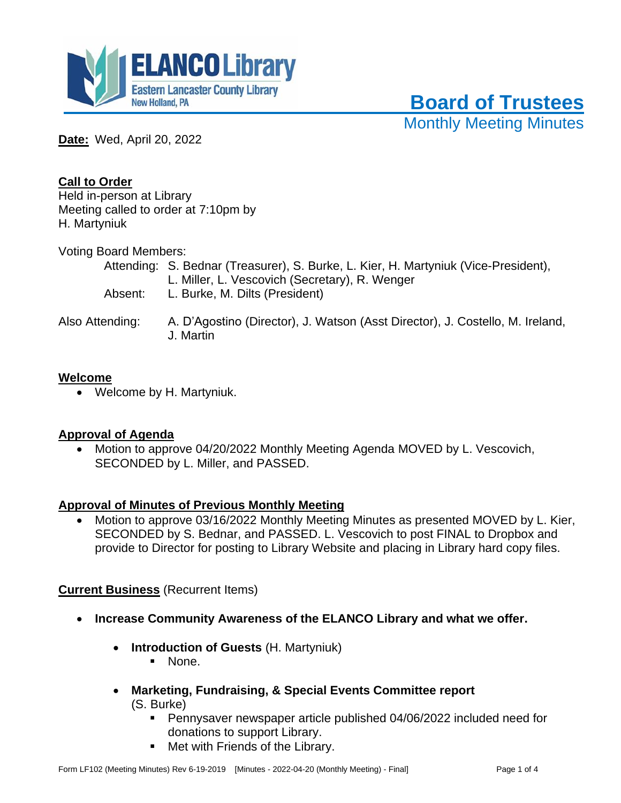

 **Board of Trustees**

Monthly Meeting Minutes

**Date:** Wed, April 20, 2022

# **Call to Order**

Held in-person at Library Meeting called to order at 7:10pm by H. Martyniuk

Voting Board Members:

|                 | Attending: S. Bednar (Treasurer), S. Burke, L. Kier, H. Martyniuk (Vice-President),<br>L. Miller, L. Vescovich (Secretary), R. Wenger |
|-----------------|---------------------------------------------------------------------------------------------------------------------------------------|
| Absent:         | L. Burke, M. Dilts (President)                                                                                                        |
| Also Attending: | A. D'Agostino (Director), J. Watson (Asst Director), J. Costello, M. Ireland,                                                         |

## **Welcome**

• Welcome by H. Martyniuk.

## **Approval of Agenda**

• Motion to approve 04/20/2022 Monthly Meeting Agenda MOVED by L. Vescovich, SECONDED by L. Miller, and PASSED.

## **Approval of Minutes of Previous Monthly Meeting**

J. Martin

• Motion to approve 03/16/2022 Monthly Meeting Minutes as presented MOVED by L. Kier, SECONDED by S. Bednar, and PASSED. L. Vescovich to post FINAL to Dropbox and provide to Director for posting to Library Website and placing in Library hard copy files.

# **Current Business** (Recurrent Items)

- **Increase Community Awareness of the ELANCO Library and what we offer.**
	- **Introduction of Guests** (H. Martyniuk)
		- None.
	- **Marketing, Fundraising, & Special Events Committee report** (S. Burke)
		- Pennysaver newspaper article published 04/06/2022 included need for donations to support Library.
		- Met with Friends of the Library.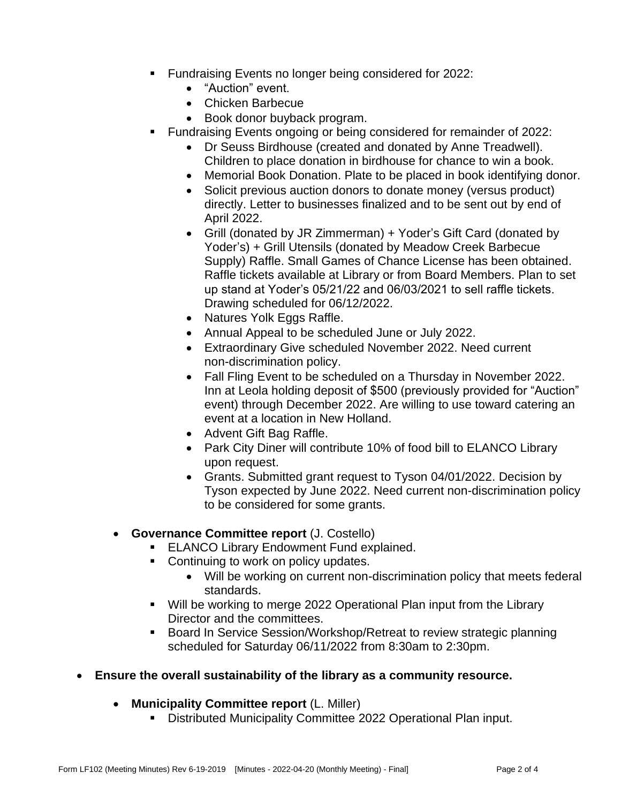- Fundraising Events no longer being considered for 2022:
	- "Auction" event.
	- Chicken Barbecue
	- Book donor buyback program.
- Fundraising Events ongoing or being considered for remainder of 2022:
	- Dr Seuss Birdhouse (created and donated by Anne Treadwell).
	- Children to place donation in birdhouse for chance to win a book.
	- Memorial Book Donation. Plate to be placed in book identifying donor.
	- Solicit previous auction donors to donate money (versus product) directly. Letter to businesses finalized and to be sent out by end of April 2022.
	- Grill (donated by JR Zimmerman) + Yoder's Gift Card (donated by Yoder's) + Grill Utensils (donated by Meadow Creek Barbecue Supply) Raffle. Small Games of Chance License has been obtained. Raffle tickets available at Library or from Board Members. Plan to set up stand at Yoder's 05/21/22 and 06/03/2021 to sell raffle tickets. Drawing scheduled for 06/12/2022.
	- Natures Yolk Eggs Raffle.
	- Annual Appeal to be scheduled June or July 2022.
	- Extraordinary Give scheduled November 2022. Need current non-discrimination policy.
	- Fall Fling Event to be scheduled on a Thursday in November 2022. Inn at Leola holding deposit of \$500 (previously provided for "Auction" event) through December 2022. Are willing to use toward catering an event at a location in New Holland.
	- Advent Gift Bag Raffle.
	- Park City Diner will contribute 10% of food bill to ELANCO Library upon request.
	- Grants. Submitted grant request to Tyson 04/01/2022. Decision by Tyson expected by June 2022. Need current non-discrimination policy to be considered for some grants.

# • **Governance Committee report** (J. Costello)

- **ELANCO Library Endowment Fund explained.**
- Continuing to work on policy updates.
	- Will be working on current non-discrimination policy that meets federal standards.
- Will be working to merge 2022 Operational Plan input from the Library Director and the committees.
- Board In Service Session/Workshop/Retreat to review strategic planning scheduled for Saturday 06/11/2022 from 8:30am to 2:30pm.
- **Ensure the overall sustainability of the library as a community resource.**
	- **Municipality Committee report** (L. Miller)
		- Distributed Municipality Committee 2022 Operational Plan input.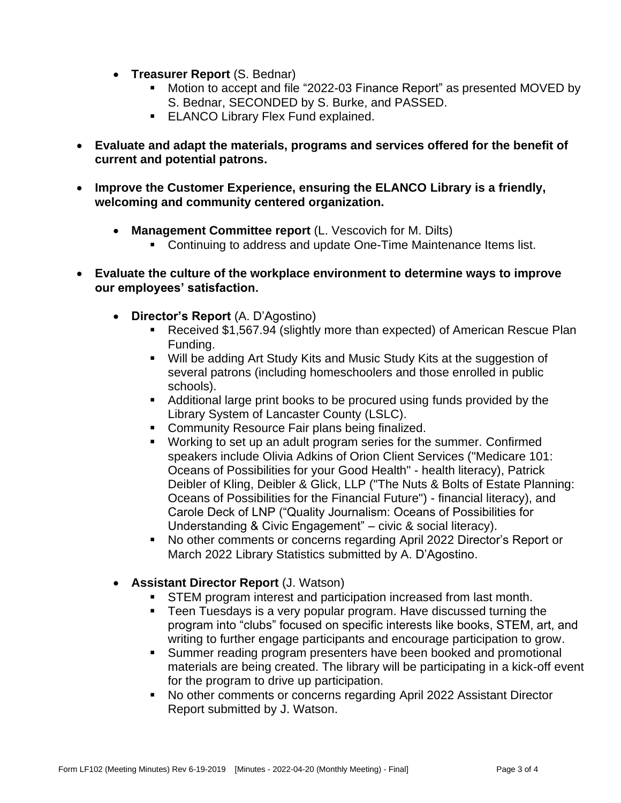- **Treasurer Report** (S. Bednar)
	- Motion to accept and file "2022-03 Finance Report" as presented MOVED by S. Bednar, SECONDED by S. Burke, and PASSED.
	- **ELANCO Library Flex Fund explained.**
- **Evaluate and adapt the materials, programs and services offered for the benefit of current and potential patrons.**
- **Improve the Customer Experience, ensuring the ELANCO Library is a friendly, welcoming and community centered organization.**
	- **Management Committee report** (L. Vescovich for M. Dilts)
		- Continuing to address and update One-Time Maintenance Items list.
- **Evaluate the culture of the workplace environment to determine ways to improve our employees' satisfaction.**
	- **Director's Report** (A. D'Agostino)
		- Received \$1,567.94 (slightly more than expected) of American Rescue Plan Funding.
		- Will be adding Art Study Kits and Music Study Kits at the suggestion of several patrons (including homeschoolers and those enrolled in public schools).
		- Additional large print books to be procured using funds provided by the Library System of Lancaster County (LSLC).
		- Community Resource Fair plans being finalized.
		- Working to set up an adult program series for the summer. Confirmed speakers include Olivia Adkins of Orion Client Services ("Medicare 101: Oceans of Possibilities for your Good Health" - health literacy), Patrick Deibler of Kling, Deibler & Glick, LLP ("The Nuts & Bolts of Estate Planning: Oceans of Possibilities for the Financial Future") - financial literacy), and Carole Deck of LNP ("Quality Journalism: Oceans of Possibilities for Understanding & Civic Engagement" – civic & social literacy).
		- No other comments or concerns regarding April 2022 Director's Report or March 2022 Library Statistics submitted by A. D'Agostino.
	- **Assistant Director Report** (J. Watson)
		- STEM program interest and participation increased from last month.
		- Teen Tuesdays is a very popular program. Have discussed turning the program into "clubs" focused on specific interests like books, STEM, art, and writing to further engage participants and encourage participation to grow.
		- Summer reading program presenters have been booked and promotional materials are being created. The library will be participating in a kick-off event for the program to drive up participation.
		- No other comments or concerns regarding April 2022 Assistant Director Report submitted by J. Watson.